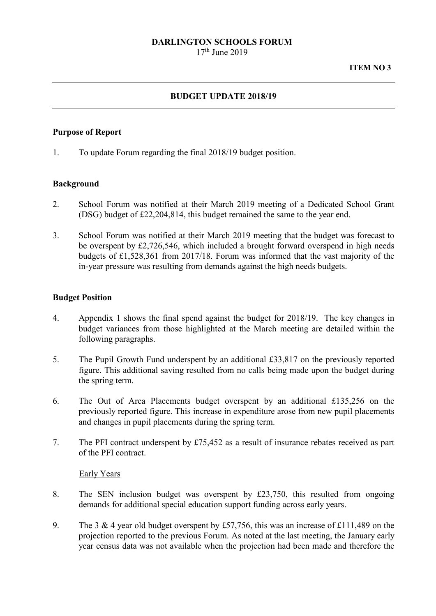## **DARLINGTON SCHOOLS FORUM**

 $17<sup>th</sup>$  June 2019

# **BUDGET UPDATE 2018/19**

## **Purpose of Report**

1. To update Forum regarding the final 2018/19 budget position.

## **Background**

- 2. School Forum was notified at their March 2019 meeting of a Dedicated School Grant (DSG) budget of £22,204,814, this budget remained the same to the year end.
- 3. School Forum was notified at their March 2019 meeting that the budget was forecast to be overspent by £2,726,546, which included a brought forward overspend in high needs budgets of £1,528,361 from 2017/18. Forum was informed that the vast majority of the in-year pressure was resulting from demands against the high needs budgets.

# **Budget Position**

- 4. Appendix 1 shows the final spend against the budget for 2018/19. The key changes in budget variances from those highlighted at the March meeting are detailed within the following paragraphs.
- 5. The Pupil Growth Fund underspent by an additional £33,817 on the previously reported figure. This additional saving resulted from no calls being made upon the budget during the spring term.
- 6. The Out of Area Placements budget overspent by an additional £135,256 on the previously reported figure. This increase in expenditure arose from new pupil placements and changes in pupil placements during the spring term.
- 7. The PFI contract underspent by £75,452 as a result of insurance rebates received as part of the PFI contract.

## Early Years

- 8. The SEN inclusion budget was overspent by £23,750, this resulted from ongoing demands for additional special education support funding across early years.
- 9. The 3 & 4 year old budget overspent by £57,756, this was an increase of £111,489 on the projection reported to the previous Forum. As noted at the last meeting, the January early year census data was not available when the projection had been made and therefore the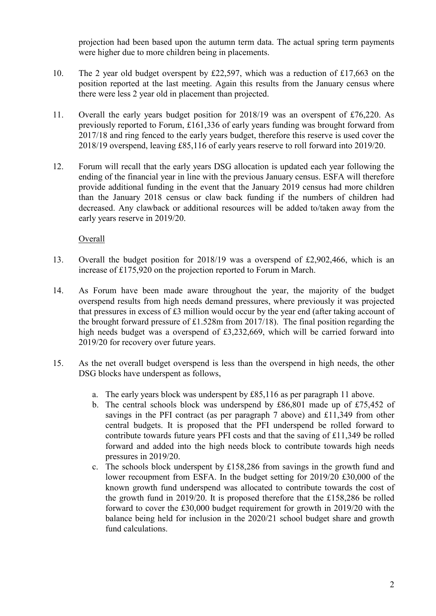projection had been based upon the autumn term data. The actual spring term payments were higher due to more children being in placements.

- 10. The 2 year old budget overspent by £22,597, which was a reduction of £17,663 on the position reported at the last meeting. Again this results from the January census where there were less 2 year old in placement than projected.
- 11. Overall the early years budget position for 2018/19 was an overspent of £76,220. As previously reported to Forum, £161,336 of early years funding was brought forward from 2017/18 and ring fenced to the early years budget, therefore this reserve is used cover the 2018/19 overspend, leaving £85,116 of early years reserve to roll forward into 2019/20.
- 12. Forum will recall that the early years DSG allocation is updated each year following the ending of the financial year in line with the previous January census. ESFA will therefore provide additional funding in the event that the January 2019 census had more children than the January 2018 census or claw back funding if the numbers of children had decreased. Any clawback or additional resources will be added to/taken away from the early years reserve in 2019/20.

Overall

- 13. Overall the budget position for 2018/19 was a overspend of £2,902,466, which is an increase of £175,920 on the projection reported to Forum in March.
- 14. As Forum have been made aware throughout the year, the majority of the budget overspend results from high needs demand pressures, where previously it was projected that pressures in excess of £3 million would occur by the year end (after taking account of the brought forward pressure of £1.528m from 2017/18). The final position regarding the high needs budget was a overspend of £3,232,669, which will be carried forward into 2019/20 for recovery over future years.
- 15. As the net overall budget overspend is less than the overspend in high needs, the other DSG blocks have underspent as follows,
	- a. The early years block was underspent by £85,116 as per paragraph 11 above.
	- b. The central schools block was underspend by £86,801 made up of £75,452 of savings in the PFI contract (as per paragraph 7 above) and £11,349 from other central budgets. It is proposed that the PFI underspend be rolled forward to contribute towards future years PFI costs and that the saving of £11,349 be rolled forward and added into the high needs block to contribute towards high needs pressures in 2019/20.
	- c. The schools block underspent by £158,286 from savings in the growth fund and lower recoupment from ESFA. In the budget setting for 2019/20 £30,000 of the known growth fund underspend was allocated to contribute towards the cost of the growth fund in 2019/20. It is proposed therefore that the £158,286 be rolled forward to cover the £30,000 budget requirement for growth in 2019/20 with the balance being held for inclusion in the 2020/21 school budget share and growth fund calculations.